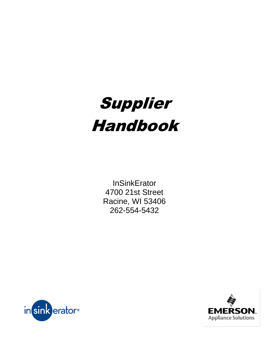

**InSinkErator** 4700 21st Street Racine, WI 53406 262-554-5432



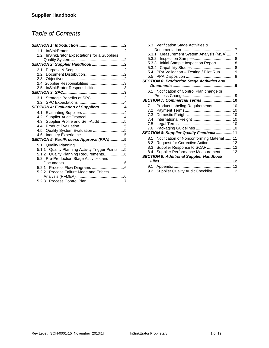# *Table of Contents*

| 1.1                                               |  |
|---------------------------------------------------|--|
| InSinkErator Expectations for a Suppliers<br>1.2  |  |
|                                                   |  |
| SECTION 2: Supplier Handbook2                     |  |
| 2.1                                               |  |
|                                                   |  |
|                                                   |  |
|                                                   |  |
| 2.5 InSinkErator Responsibilities 3               |  |
|                                                   |  |
| Strategic Benefits of SPC3<br>3.1                 |  |
| 3.2                                               |  |
| SECTION 4: Evaluation of Suppliers4               |  |
| 4.1                                               |  |
| 4.2                                               |  |
| Supplier Profile and Self-Audit 5<br>4.3          |  |
| 4.4                                               |  |
| Quality System Evaluation 5<br>4.5                |  |
| 4.6                                               |  |
| SECTION 5: Part/Process Approval (PPA)5           |  |
|                                                   |  |
| 5.1.1 Quality Planning Activity Trigger Points  5 |  |
| Quality Planning Requirements 6<br>5.1.2          |  |
| 5.2 Pre-Production Stage Activities and           |  |
|                                                   |  |
| 5.2.1                                             |  |
| 5.2.2 Process Failure Mode and Effects            |  |
|                                                   |  |
|                                                   |  |

| 5.3.1<br>5.3.2<br>5.3.3<br>5.3.4               | 5.3 Verification Stage Activities &<br>Measurement System Analysis (MSA)7<br>Initial Sample Inspection Report  8<br>5.4 PPA Validation - Testing / Pilot Run9 |  |  |  |
|------------------------------------------------|---------------------------------------------------------------------------------------------------------------------------------------------------------------|--|--|--|
| 5.5                                            | <b>SECTION 6: Production Stage Activities and</b>                                                                                                             |  |  |  |
|                                                |                                                                                                                                                               |  |  |  |
| 61                                             | Notification of Control Plan change or<br>SECTION 7: Commercial Terms10                                                                                       |  |  |  |
|                                                | 7.1. Product Labeling Requirements 10                                                                                                                         |  |  |  |
| 7.2                                            |                                                                                                                                                               |  |  |  |
| 7.3                                            |                                                                                                                                                               |  |  |  |
| 7.4                                            |                                                                                                                                                               |  |  |  |
| 7.5                                            |                                                                                                                                                               |  |  |  |
| 7.6                                            |                                                                                                                                                               |  |  |  |
|                                                | SECTION 8: Supplier Quality Feedback11                                                                                                                        |  |  |  |
| 81                                             | Notification of Nonconforming Material 11                                                                                                                     |  |  |  |
| 8.2                                            | Request for Corrective Action  12                                                                                                                             |  |  |  |
| 8.3                                            | Supplier Response to SCAR12                                                                                                                                   |  |  |  |
| 8.4                                            | Supplier Performance Measurement 12                                                                                                                           |  |  |  |
| <b>SECTION 9: Additional Supplier Handbook</b> |                                                                                                                                                               |  |  |  |
|                                                |                                                                                                                                                               |  |  |  |
| 9.1                                            | 9.2 Supplier Quality Audit Checklist 12                                                                                                                       |  |  |  |
|                                                |                                                                                                                                                               |  |  |  |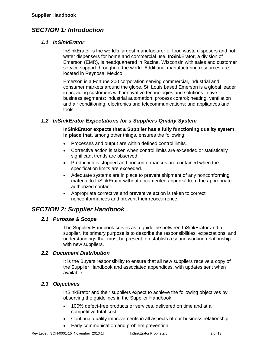# *SECTION 1: Introduction*

### *1.1 InSinkErator*

InSinkErator is the world's largest manufacturer of food waste disposers and hot water dispensers for home and commercial use. InSinkErator, a division of Emerson (EMR), is headquartered in Racine, Wisconsin with sales and customer service support throughout the world. Additional manufacturing resources are located in Reynosa, Mexico.

Emerson is a Fortune 200 corporation serving commercial, industrial and consumer markets around the globe. St. Louis based Emerson is a global leader in providing customers with innovative technologies and solutions in five business segments: industrial automation; process control; heating, ventilation and air conditioning; electronics and telecommunications; and appliances and tools.

# *1.2 InSinkErator Expectations for a Suppliers Quality System*

**InSinkErator expects that a Supplier has a fully functioning quality system in place that,** among other things, ensures the following:

- Processes and output are within defined control limits.
- Corrective action is taken when control limits are exceeded or statistically significant trends are observed.
- Production is stopped and nonconformances are contained when the specification limits are exceeded.
- Adequate systems are in place to prevent shipment of any nonconforming material to InSinkErator without documented approval from the appropriate authorized contact.
- Appropriate corrective and preventive action is taken to correct nonconformances and prevent their reoccurrence.

# *SECTION 2: Supplier Handbook*

# *2.1 Purpose & Scope*

The Supplier Handbook serves as a guideline between InSinkErator and a supplier. Its primary purpose is to describe the responsibilities, expectations, and understandings that must be present to establish a sound working relationship with new suppliers.

### *2.2 Document Distribution*

It is the Buyers responsibility to ensure that all new suppliers receive a copy of the Supplier Handbook and associated appendices, with updates sent when available.

# *2.3 Objectives*

InSinkErator and their suppliers expect to achieve the following objectives by observing the guidelines in the Supplier Handbook.

- 100% defect-free products or services, delivered on time and at a competitive total cost.
- Continual quality improvements in all aspects of our business relationship.
- Early communication and problem prevention.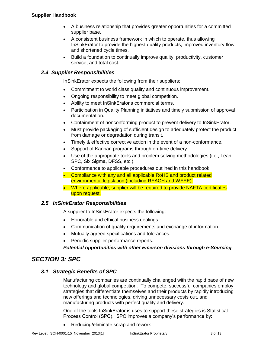- A business relationship that provides greater opportunities for a committed supplier base.
- A consistent business framework in which to operate, thus allowing InSinkErator to provide the highest quality products, improved inventory flow, and shortened cycle times.
- Build a foundation to continually improve quality, productivity, customer service, and total cost.

# *2.4 Supplier Responsibilities*

InSinkErator expects the following from their suppliers:

- Commitment to world class quality and continuous improvement.
- Ongoing responsibility to meet global competition.
- Ability to meet InSinkErator's commercial terms.
- Participation in Quality Planning initiatives and timely submission of approval documentation.
- Containment of nonconforming product to prevent delivery to InSinkErator.
- Must provide packaging of sufficient design to adequately protect the product from damage or degradation during transit.
- Timely & effective corrective action in the event of a non-conformance.
- Support of Kanban programs through on-time delivery.
- Use of the appropriate tools and problem solving methodologies (i.e., Lean, SPC, Six Sigma, DFSS, etc.).
- Conformance to applicable procedures outlined in this handbook.
- Compliance with any and all applicable RoHS and product related environmental legislation (including REACH and WEEE).
- Where applicable, supplier will be required to provide NAFTA certificates upon request.

# *2.5 InSinkErator Responsibilities*

A supplier to InSinkErator expects the following:

- Honorable and ethical business dealings.
- Communication of quality requirements and exchange of information.
- Mutually agreed specifications and tolerances.
- Periodic supplier performance reports.

*Potential opportunities with other Emerson divisions through e-Sourcing*

# *SECTION 3: SPC*

# *3.1 Strategic Benefits of SPC*

Manufacturing companies are continually challenged with the rapid pace of new technology and global competition. To compete, successful companies employ strategies that differentiate themselves and their products by rapidly introducing new offerings and technologies, driving unnecessary costs out, and manufacturing products with perfect quality and delivery.

One of the tools InSinkErator is uses to support these strategies is Statistical Process Control (SPC). SPC improves a company's performance by:

• Reducing/eliminate scrap and rework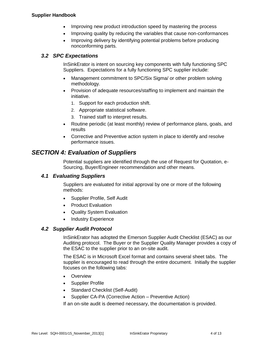- Improving new product introduction speed by mastering the process
- Improving quality by reducing the variables that cause non-conformances
- Improving delivery by identifying potential problems before producing nonconforming parts.

# *3.2 SPC Expectations*

InSinkErator is intent on sourcing key components with fully functioning SPC Suppliers. Expectations for a fully functioning SPC supplier include:

- Management commitment to SPC/Six Sigma/ or other problem solving methodology.
- Provision of adequate resources/staffing to implement and maintain the initiative.
	- 1. Support for each production shift.
	- 2. Appropriate statistical software.
	- 3. Trained staff to interpret results.
- Routine periodic (at least monthly) review of performance plans, goals, and results
- Corrective and Preventive action system in place to identify and resolve performance issues.

# *SECTION 4: Evaluation of Suppliers*

Potential suppliers are identified through the use of Request for Quotation, e-Sourcing, Buyer/Engineer recommendation and other means.

# *4.1 Evaluating Suppliers*

Suppliers are evaluated for initial approval by one or more of the following methods:

- Supplier Profile, Self Audit
- Product Evaluation
- Quality System Evaluation
- Industry Experience

# *4.2 Supplier Audit Protocol*

InSinkErator has adopted the Emerson Supplier Audit Checklist (ESAC) as our Auditing protocol. The Buyer or the Supplier Quality Manager provides a copy of the ESAC to the supplier prior to an on-site audit.

The ESAC is in Microsoft Excel format and contains several sheet tabs. The supplier is encouraged to read through the entire document. Initially the supplier focuses on the following tabs:

- Overview
- Supplier Profile
- Standard Checklist (Self-Audit)
- Supplier CA-PA (Corrective Action Preventive Action)

If an on-site audit is deemed necessary, the documentation is provided.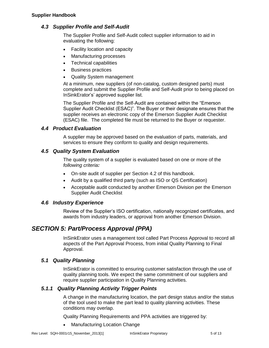# *4.3 Supplier Profile and Self-Audit*

The Supplier Profile and Self-Audit collect supplier information to aid in evaluating the following:

- Facility location and capacity
- Manufacturing processes
- Technical capabilities
- **Business practices**
- Quality System management

At a minimum, new suppliers (of non-catalog, custom designed parts) must complete and submit the Supplier Profile and Self-Audit prior to being placed on InSinkErator's' approved supplier list.

The Supplier Profile and the Self-Audit are contained within the "Emerson Supplier Audit Checklist (ESAC)". The Buyer or their designate ensures that the supplier receives an electronic copy of the Emerson Supplier Audit Checklist (ESAC) file. The completed file must be returned to the Buyer or requester.

# *4.4 Product Evaluation*

A supplier may be approved based on the evaluation of parts, materials, and services to ensure they conform to quality and design requirements.

# *4.5 Quality System Evaluation*

The quality system of a supplier is evaluated based on one or more of the *following criteria:*

- On-site audit of supplier per Section 4.2 of this handbook.
- Audit by a qualified third party (such as ISO or QS Certification)
- Acceptable audit conducted by another Emerson Division per the Emerson Supplier Audit Checklist

# *4.6 Industry Experience*

Review of the Supplier's ISO certification, nationally recognized certificates, and awards from industry leaders, or approval from another Emerson Division.

# *SECTION 5: Part/Process Approval (PPA)*

InSinkErator uses a management tool called Part Process Approval to record all aspects of the Part Approval Process, from initial Quality Planning to Final Approval.

# *5.1 Quality Planning*

InSinkErator is committed to ensuring customer satisfaction through the use of quality planning tools. We expect the same commitment of our suppliers and require supplier participation in Quality Planning activities.

# *5.1.1 Quality Planning Activity Trigger Points*

A change in the manufacturing location, the part design status and/or the status of the tool used to make the part lead to quality planning activities. These conditions may overlap.

Quality Planning Requirements and PPA activities are triggered by:

Manufacturing Location Change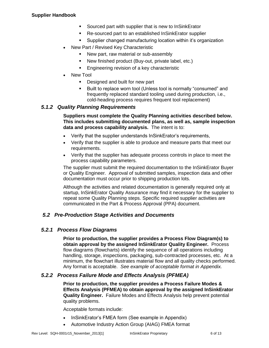- Sourced part with supplier that is new to InSinkErator
- Re-sourced part to an established InSinkErator supplier
- Supplier changed manufacturing location within it's organization
- New Part / Revised Key Characteristic
	- New part, raw material or sub-assembly
	- New finished product (Buy-out, private label, etc.)
	- **Engineering revision of a key characteristic**
- New Tool
	- **Designed and built for new part**
	- Built to replace worn tool (Unless tool is normally "consumed" and frequently replaced standard tooling used during production, i.e., cold-heading process requires frequent tool replacement)

### *5.1.2 Quality Planning Requirements*

**Suppliers must complete the Quality Planning activities described below. This includes submitting documented plans, as well as, sample inspection data and process capability analysis.** The intent is to:

- Verify that the supplier understands InSinkErator's requirements,
- Verify that the supplier is able to produce and measure parts that meet our requirements.
- Verify that the supplier has adequate process controls in place to meet the process capability parameters.

The supplier must submit the required documentation to the InSinkErator Buyer or Quality Engineer. Approval of submitted samples, inspection data and other documentation must occur prior to shipping production lots.

Although the activities and related documentation is generally required only at startup, InSinkErator Quality Assurance may find it necessary for the supplier to repeat some Quality Planning steps. Specific required supplier activities are communicated in the Part & Process Approval (PPA) document.

# *5.2 Pre-Production Stage Activities and Documents*

# *5.2.1 Process Flow Diagrams*

**Prior to production, the supplier provides a Process Flow Diagram(s) to obtain approval by the assigned InSinkErator Quality Engineer.** Process flow diagrams (flowcharts) identify the sequence of all operations including handling, storage, inspections, packaging, sub-contracted processes, etc. At a minimum, the flowchart illustrates material flow and all quality checks performed. Any format is acceptable. *See example of acceptable format in Appendix.*

# *5.2.2 Process Failure Mode and Effects Analysis (PFMEA)*

**Prior to production, the supplier provides a Process Failure Modes & Effects Analysis (PFMEA) to obtain approval by the assigned InSinkErator Quality Engineer.** Failure Modes and Effects Analysis help prevent potential quality problems.

Acceptable formats include:

- InSinkErator's FMEA form (See example in Appendix)
- Automotive Industry Action Group (AIAG) FMEA format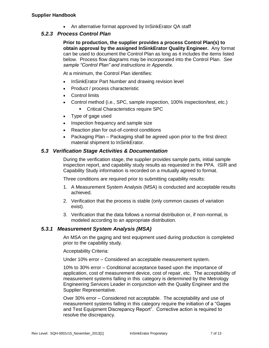An alternative format approved by InSinkErator QA staff

# *5.2.3 Process Control Plan*

**Prior to production, the supplier provides a process Control Plan(s) to obtain approval by the assigned InSinkErator Quality Engineer.** Any format can be used to document the Control Plan as long as it includes the items listed below. Process flow diagrams may be incorporated into the Control Plan. *See sample "Control Plan" and instructions in Appendix.* 

At a minimum, the Control Plan identifies:

- InSinkErator Part Number and drawing revision level
- Product / process characteristic
- Control limits
- Control method (i.e., SPC, sample inspection, 100% inspection/test, etc.)
	- **Critical Characteristics require SPC**
- Type of gage used
- Inspection frequency and sample size
- Reaction plan for out-of-control conditions
- Packaging Plan Packaging shall be agreed upon prior to the first direct material shipment to InSinkErator.

# *5.3 Verification Stage Activities & Documentation*

During the verification stage, the supplier provides sample parts, initial sample inspection report, and capability study results as requested in the PPA. ISIR and Capability Study information is recorded on a mutually agreed to format.

Three conditions are required prior to submitting capability results:

- 1. A Measurement System Analysis (MSA) is conducted and acceptable results achieved.
- 2. Verification that the process is stable (only common causes of variation exist).
- 3. Verification that the data follows a normal distribution or, if non-normal, is modeled according to an appropriate distribution.

# *5.3.1 Measurement System Analysis (MSA)*

An MSA on the gaging and test equipment used during production is completed prior to the capability study.

Acceptability Criteria:

Under 10% error – Considered an acceptable measurement system.

10% to 30% error – Conditional acceptance based upon the importance of application, cost of measurement device, cost of repair, etc. The acceptability of measurement systems falling in this category is determined by the Metrology Engineering Services Leader in conjunction with the Quality Engineer and the Supplier Representative.

Over 30% error – Considered not acceptable. The acceptability and use of measurement systems falling in this category require the initiation of a "Gages and Test Equipment Discrepancy Report". Corrective action is required to resolve the discrepancy.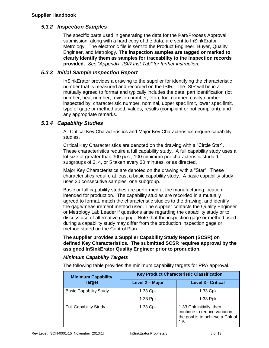# *5.3.2 Inspection Samples*

The specific parts used in generating the data for the Part/Process Approval submission, along with a hard copy of the data, are sent to InSinkErator Metrology. The electronic file is sent to the Product Engineer, Buyer, Quality Engineer, and Metrology. **The inspection samples are tagged or marked to clearly identify them as samples for traceability to the inspection records provided.** *See "Appendix, ISIR Inst Tab" for further instruction.*

# *5.3.3 Initial Sample Inspection Report*

InSinkErator provides a drawing to the supplier for identifying the characteristic number that is measured and recorded on the ISIR. The ISIR will be in a mutually agreed to format and typically includes the date, part identification (lot number, heat number, revision number, etc.), tool number, cavity number, inspected by, characteristic number, nominal, upper spec limit, lower spec limit, type of gage or method used, values, results (compliant or not compliant), and any appropriate remarks.

# *5.3.4 Capability Studies*

All Critical Key Characteristics and Major Key Characteristics require capability studies.

Critical Key Characteristics are denoted on the drawing with a "Circle Star". These characteristics require a full capability study. A full capability study uses a lot size of greater than 300 pcs., 100 minimum per characteristic studied, subgroups of 3, 4, or 5 taken every 30 minutes, or as directed.

Major Key Characteristics are denoted on the drawing with a "Star". These characteristics require at least a basic capability study. A basic capability study uses 30 consecutive samples, one subgroup.

Basic or full capability studies are performed at the manufacturing location intended for production. The capability studies are recorded in a mutually agreed to format, match the characteristic studies to the drawing, and identify the gage/measurement method used. The supplier contacts the Quality Engineer or Metrology Lab Leader if questions arise regarding the capability study or to discuss use of alternative gaging. Note that the inspection gage or method used during a capability study may differ from the production inspection gage or method stated on the Control Plan.

**The supplier provides a Supplier Capability Study Report (SCSR) on defined Key Characteristics. The submitted SCSR requires approval by the assigned InSinkErator Quality Engineer prior to production.** 

# *Minimum Capability Targets*

The following table provides the minimum capability targets for PPA approval.

| <b>Minimum Capability</b>     | <b>Key Product Characteristic Classification</b> |                                                                                                      |  |
|-------------------------------|--------------------------------------------------|------------------------------------------------------------------------------------------------------|--|
| <b>Target</b>                 | Level 2 - Major                                  | <b>Level 3 - Critical</b>                                                                            |  |
| <b>Basic Capability Study</b> | 1.33 Cpk                                         | 1.33 Cpk                                                                                             |  |
|                               | 1.33 Ppk                                         | 1.33 Ppk                                                                                             |  |
| <b>Full Capability Study</b>  | 1.33 Cpk                                         | 1.33 Cpk initially, then<br>continue to reduce variation;<br>the goal is to achieve a Cpk of<br>1.5. |  |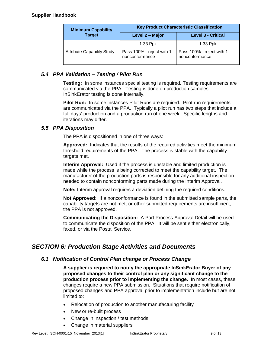#### **Supplier Handbook**

| <b>Minimum Capability</b>         | <b>Key Product Characteristic Classification</b> |                                             |  |
|-----------------------------------|--------------------------------------------------|---------------------------------------------|--|
| <b>Target</b>                     | Level 2 - Major                                  | <b>Level 3 - Critical</b>                   |  |
|                                   | 1.33 Ppk                                         | 1.33 Ppk                                    |  |
| <b>Attribute Capability Study</b> | Pass 100% - reject with 1<br>nonconformance      | Pass 100% - reject with 1<br>nonconformance |  |

# *5.4 PPA Validation – Testing / Pilot Run*

**Testing:** In some instances special testing is required. Testing requirements are communicated via the PPA. Testing is done on production samples. InSinkErator testing is done internally.

**Pilot Run:** In some instances Pilot Runs are required. Pilot run requirements are communicated via the PPA. Typically a pilot run has two steps that include a full days' production and a production run of one week. Specific lengths and iterations may differ.

# *5.5 PPA Disposition*

The PPA is dispositioned in one of three ways:

**Approved:** Indicates that the results of the required activities meet the minimum threshold requirements of the PPA. The process is stable with the capability targets met.

**Interim Approval:** Used if the process is unstable and limited production is made while the process is being corrected to meet the capability target. The manufacturer of the production parts is responsible for any additional inspection needed to contain nonconforming parts made during the Interim Approval.

**Note:** Interim approval requires a deviation defining the required conditions.

**Not Approved:** If a nonconformance is found in the submitted sample parts, the capability targets are not met, or other submitted requirements are insufficient, the PPA is not approved.

**Communicating the Disposition:** A Part Process Approval Detail will be used to communicate the disposition of the PPA. It will be sent either electronically, faxed, or via the Postal Service.

# *SECTION 6: Production Stage Activities and Documents*

# *6.1 Notification of Control Plan change or Process Change*

**A supplier is required to notify the appropriate InSinkErator Buyer of any proposed changes to their control plan or any significant change to the production process prior to implementing the change.** In most cases, these changes require a new PPA submission. Situations that require notification of proposed changes and PPA approval prior to implementation include but are not limited to:

- Relocation of production to another manufacturing facility
- New or re-built process
- Change in inspection / test methods
- Change in material suppliers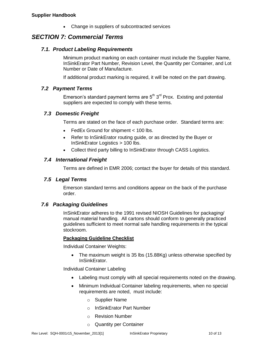• Change in suppliers of subcontracted services

# *SECTION 7: Commercial Terms*

### *7.1. Product Labeling Requirements*

Minimum product marking on each container must include the Supplier Name, InSinkErator Part Number, Revision Level, the Quantity per Container, and Lot Number or Date of Manufacture.

If additional product marking is required, it will be noted on the part drawing.

### *7.2 Payment Terms*

Emerson's standard payment terms are  $5<sup>th</sup> 3<sup>rd</sup>$  Prox. Existing and potential suppliers are expected to comply with these terms.

### *7.3 Domestic Freight*

Terms are stated on the face of each purchase order. Standard terms are:

- FedEx Ground for shipment < 100 lbs.
- Refer to InSinkErator routing guide, or as directed by the Buyer or InSinkErator Logistics > 100 lbs.
- Collect third party billing to InSinkErator through CASS Logistics.

### *7.4 International Freight*

Terms are defined in EMR 2006; contact the buyer for details of this standard.

### *7.5 Legal Terms*

Emerson standard terms and conditions appear on the back of the purchase order.

# *7.6 Packaging Guidelines*

InSinkErator adheres to the 1991 revised NIOSH Guidelines for packaging/ manual material handling. All cartons should conform to generally practiced guidelines sufficient to meet normal safe handling requirements in the typical stockroom.

### **Packaging Guideline Checklist**

Individual Container Weights:

• The maximum weight is 35 lbs (15.88Kg) unless otherwise specified by InSinkErator.

Individual Container Labeling

- Labeling must comply with all special requirements noted on the drawing.
- Minimum Individual Container labeling requirements, when no special requirements are noted, must include:
	- o Supplier Name
	- o InSinkErator Part Number
	- o Revision Number
	- o Quantity per Container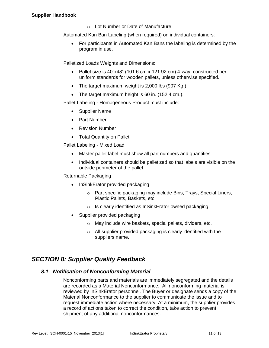o Lot Number or Date of Manufacture

Automated Kan Ban Labeling (when required) on individual containers:

 For participants in Automated Kan Bans the labeling is determined by the program in use.

Palletized Loads Weights and Dimensions:

- Pallet size is  $40"x48"$  (101.6 cm x 121.92 cm) 4-way, constructed per uniform standards for wooden pallets, unless otherwise specified.
- The target maximum weight is 2,000 lbs (907 Kg.).
- The target maximum height is 60 in. (152.4 cm.).

Pallet Labeling - Homogeneous Product must include:

- Supplier Name
- Part Number
- Revision Number
- Total Quantity on Pallet

Pallet Labeling - Mixed Load

- Master pallet label must show all part numbers and quantities
- Individual containers should be palletized so that labels are visible on the outside perimeter of the pallet.

Returnable Packaging

- InSinkErator provided packaging
	- o Part specific packaging may include Bins, Trays, Special Liners, Plastic Pallets, Baskets, etc.
	- o Is clearly identified as InSinkErator owned packaging.
- Supplier provided packaging
	- o May include wire baskets, special pallets, dividers, etc.
	- o All supplier provided packaging is clearly identified with the suppliers name.

# *SECTION 8: Supplier Quality Feedback*

# *8.1 Notification of Nonconforming Material*

Nonconforming parts and materials are immediately segregated and the details are recorded as a Material Nonconformance. All nonconforming material is reviewed by InSinkErator personnel. The Buyer or designate sends a copy of the Material Nonconformance to the supplier to communicate the issue and to request immediate action where necessary. At a minimum, the supplier provides a record of actions taken to correct the condition, take action to prevent shipment of any additional nonconformances.